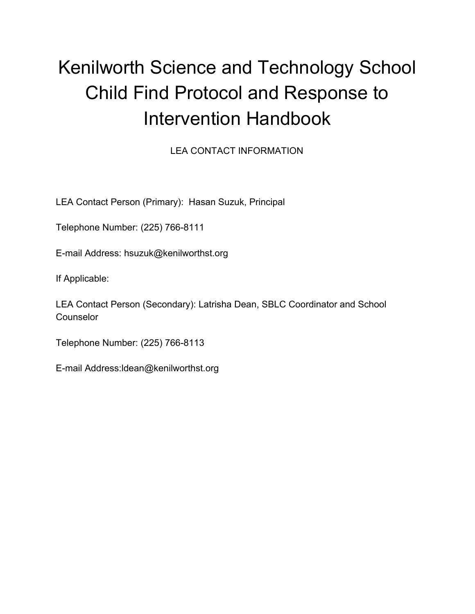# Kenilworth Science and Technology School Child Find Protocol and Response to Intervention Handbook

LEA CONTACT INFORMATION

LEA Contact Person (Primary): Hasan Suzuk, Principal

Telephone Number: (225) 766-8111

E-mail Address: hsuzuk@kenilworthst.org

If Applicable:

LEA Contact Person (Secondary): Latrisha Dean, SBLC Coordinator and School Counselor

Telephone Number: (225) 766-8113

E-mail Address:ldean@kenilworthst.org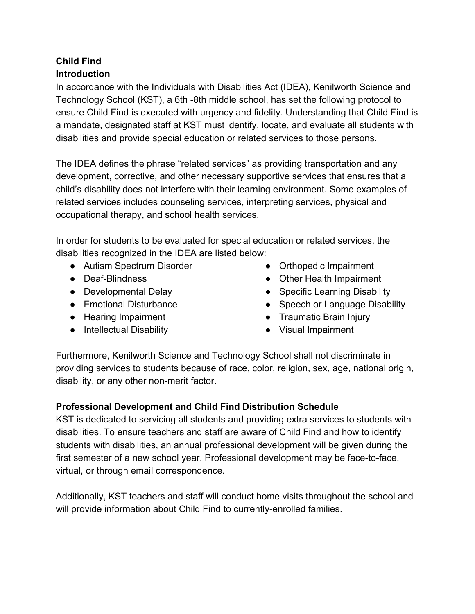## **Child Find Introduction**

In accordance with the Individuals with Disabilities Act (IDEA), Kenilworth Science and Technology School (KST), a 6th -8th middle school, has set the following protocol to ensure Child Find is executed with urgency and fidelity. Understanding that Child Find is a mandate, designated staff at KST must identify, locate, and evaluate all students with disabilities and provide special education or related services to those persons.

The IDEA defines the phrase "related services" as providing transportation and any development, corrective, and other necessary supportive services that ensures that a child's disability does not interfere with their learning environment. Some examples of related services includes counseling services, interpreting services, physical and occupational therapy, and school health services.

In order for students to be evaluated for special education or related services, the disabilities recognized in the IDEA are listed below:

- Autism Spectrum Disorder
- Deaf-Blindness
- Developmental Delay
- Emotional Disturbance
- Hearing Impairment
- Intellectual Disability
- Orthopedic Impairment
- Other Health Impairment
- Specific Learning Disability
- Speech or Language Disability
- Traumatic Brain Injury
- Visual Impairment

Furthermore, Kenilworth Science and Technology School shall not discriminate in providing services to students because of race, color, religion, sex, age, national origin, disability, or any other non-merit factor.

## **Professional Development and Child Find Distribution Schedule**

KST is dedicated to servicing all students and providing extra services to students with disabilities. To ensure teachers and staff are aware of Child Find and how to identify students with disabilities, an annual professional development will be given during the first semester of a new school year. Professional development may be face-to-face, virtual, or through email correspondence.

Additionally, KST teachers and staff will conduct home visits throughout the school and will provide information about Child Find to currently-enrolled families.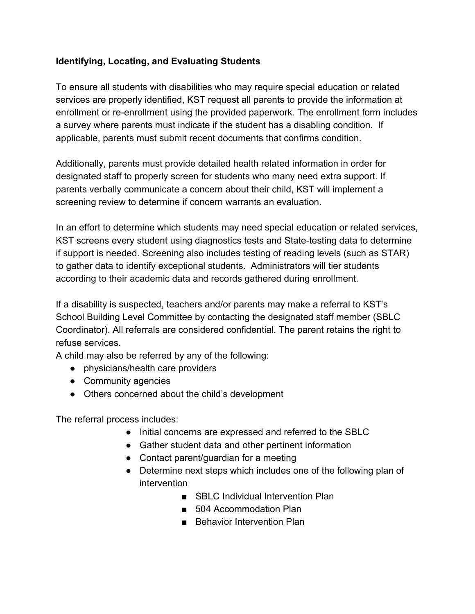#### **Identifying, Locating, and Evaluating Students**

To ensure all students with disabilities who may require special education or related services are properly identified, KST request all parents to provide the information at enrollment or re-enrollment using the provided paperwork. The enrollment form includes a survey where parents must indicate if the student has a disabling condition. If applicable, parents must submit recent documents that confirms condition.

Additionally, parents must provide detailed health related information in order for designated staff to properly screen for students who many need extra support. If parents verbally communicate a concern about their child, KST will implement a screening review to determine if concern warrants an evaluation.

In an effort to determine which students may need special education or related services, KST screens every student using diagnostics tests and State-testing data to determine if support is needed. Screening also includes testing of reading levels (such as STAR) to gather data to identify exceptional students. Administrators will tier students according to their academic data and records gathered during enrollment.

If a disability is suspected, teachers and/or parents may make a referral to KST's School Building Level Committee by contacting the designated staff member (SBLC Coordinator). All referrals are considered confidential. The parent retains the right to refuse services.

A child may also be referred by any of the following:

- physicians/health care providers
- Community agencies
- Others concerned about the child's development

The referral process includes:

- Initial concerns are expressed and referred to the SBLC
- Gather student data and other pertinent information
- Contact parent/guardian for a meeting
- Determine next steps which includes one of the following plan of intervention
	- SBLC Individual Intervention Plan
	- 504 Accommodation Plan
	- Behavior Intervention Plan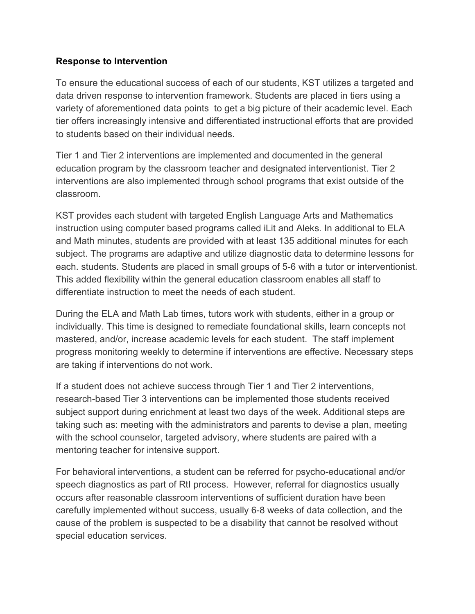#### **Response to Intervention**

To ensure the educational success of each of our students, KST utilizes a targeted and data driven response to intervention framework. Students are placed in tiers using a variety of aforementioned data points to get a big picture of their academic level. Each tier offers increasingly intensive and differentiated instructional efforts that are provided to students based on their individual needs.

Tier 1 and Tier 2 interventions are implemented and documented in the general education program by the classroom teacher and designated interventionist. Tier 2 interventions are also implemented through school programs that exist outside of the classroom.

KST provides each student with targeted English Language Arts and Mathematics instruction using computer based programs called iLit and Aleks. In additional to ELA and Math minutes, students are provided with at least 135 additional minutes for each subject. The programs are adaptive and utilize diagnostic data to determine lessons for each. students. Students are placed in small groups of 5-6 with a tutor or interventionist. This added flexibility within the general education classroom enables all staff to differentiate instruction to meet the needs of each student.

During the ELA and Math Lab times, tutors work with students, either in a group or individually. This time is designed to remediate foundational skills, learn concepts not mastered, and/or, increase academic levels for each student. The staff implement progress monitoring weekly to determine if interventions are effective. Necessary steps are taking if interventions do not work.

If a student does not achieve success through Tier 1 and Tier 2 interventions, research-based Tier 3 interventions can be implemented those students received subject support during enrichment at least two days of the week. Additional steps are taking such as: meeting with the administrators and parents to devise a plan, meeting with the school counselor, targeted advisory, where students are paired with a mentoring teacher for intensive support.

For behavioral interventions, a student can be referred for psycho-educational and/or speech diagnostics as part of RtI process. However, referral for diagnostics usually occurs after reasonable classroom interventions of sufficient duration have been carefully implemented without success, usually 6-8 weeks of data collection, and the cause of the problem is suspected to be a disability that cannot be resolved without special education services.